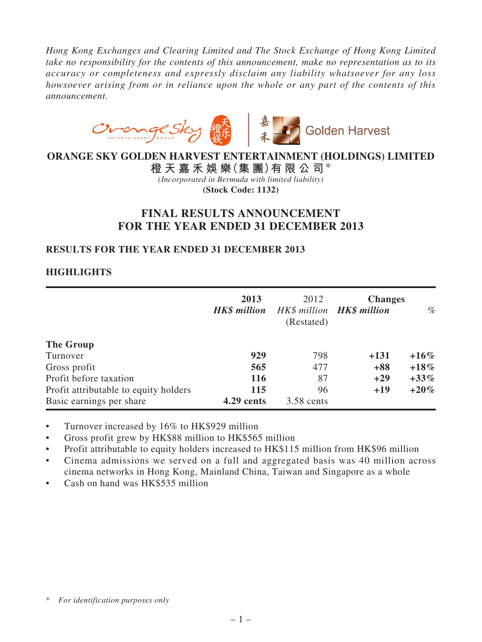*Hong Kong Exchanges and Clearing Limited and The Stock Exchange of Hong Kong Limited take no responsibility for the contents of this announcement, make no representation as to its accuracy or completeness and expressly disclaim any liability whatsoever for any loss howsoever arising from or in reliance upon the whole or any part of the contents of this announcement.*



# **ORANGE SKY GOLDEN HARVEST ENTERTAINMENT (HOLDINGS) LIMITED**

**橙 天 嘉 禾 娛 樂(集 團)有 限 公 司**\* *(Incorporated in Bermuda with limited liability)* **(Stock Code: 1132)**

# **FINAL RESULTS ANNOUNCEMENT FOR THE YEAR ENDED 31 DECEMBER 2013**

# **RESULTS FOR THE YEAR ENDED 31 DECEMBER 2013**

# **HIGHLIGHTS**

|                                       | 2013<br><b>HK\$</b> million | 2012<br>(Restated) | <b>Changes</b><br>HK\$ million <b>HK\$ million</b> | $\%$    |
|---------------------------------------|-----------------------------|--------------------|----------------------------------------------------|---------|
| The Group                             |                             |                    |                                                    |         |
| Turnover                              | 929                         | 798                | $+131$                                             | $+16\%$ |
| Gross profit                          | 565                         | 477                | $+88$                                              | $+18\%$ |
| Profit before taxation                | <b>116</b>                  | 87                 | $+29$                                              | $+33\%$ |
| Profit attributable to equity holders | 115                         | 96                 | $+19$                                              | $+20%$  |
| Basic earnings per share              | 4.29 cents                  | 3.58 cents         |                                                    |         |

Turnover increased by 16% to HK\$929 million

Gross profit grew by HK\$88 million to HK\$565 million

Profit attributable to equity holders increased to HK\$115 million from HK\$96 million

Cinema admissions we served on a full and aggregated basis was 40 million across cinema networks in Hong Kong, Mainland China, Taiwan and Singapore as a whole

• Cash on hand was HK\$535 million

<sup>\*</sup> *For identification purposes only*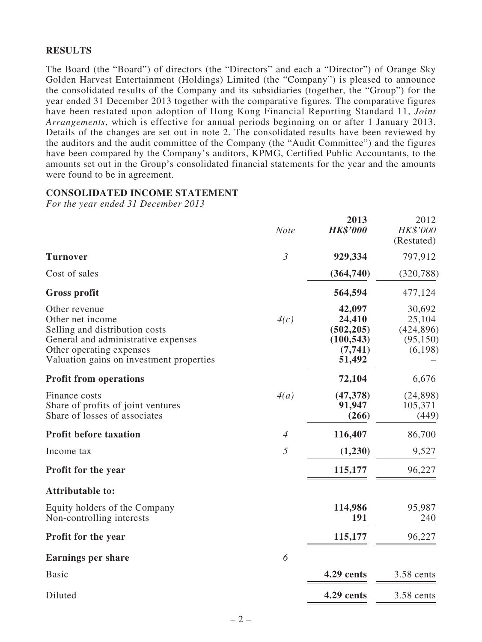### **RESULTS**

The Board (the "Board") of directors (the "Directors" and each a "Director") of Orange Sky Golden Harvest Entertainment (Holdings) Limited (the "Company") is pleased to announce the consolidated results of the Company and its subsidiaries (together, the "Group") for the year ended 31 December 2013 together with the comparative figures. The comparative figures have been restated upon adoption of Hong Kong Financial Reporting Standard 11, *Joint Arrangements*, which is effective for annual periods beginning on or after 1 January 2013. Details of the changes are set out in note 2. The consolidated results have been reviewed by the auditors and the audit committee of the Company (the "Audit Committee") and the figures have been compared by the Company's auditors, KPMG, Certified Public Accountants, to the amounts set out in the Group's consolidated financial statements for the year and the amounts were found to be in agreement.

### **CONSOLIDATED INCOME STATEMENT**

*For the year ended 31 December 2013*

|                                                                                                                                                                                    | <b>Note</b>    | 2013<br><b>HK\$'000</b>                                           | 2012<br>HK\$'000<br>(Restated)                         |
|------------------------------------------------------------------------------------------------------------------------------------------------------------------------------------|----------------|-------------------------------------------------------------------|--------------------------------------------------------|
| <b>Turnover</b>                                                                                                                                                                    | $\mathfrak{Z}$ | 929,334                                                           | 797,912                                                |
| Cost of sales                                                                                                                                                                      |                | (364,740)                                                         | (320, 788)                                             |
| <b>Gross profit</b>                                                                                                                                                                |                | 564,594                                                           | 477,124                                                |
| Other revenue<br>Other net income<br>Selling and distribution costs<br>General and administrative expenses<br>Other operating expenses<br>Valuation gains on investment properties | 4(c)           | 42,097<br>24,410<br>(502, 205)<br>(100, 543)<br>(7,741)<br>51,492 | 30,692<br>25,104<br>(424, 896)<br>(95, 150)<br>(6,198) |
| <b>Profit from operations</b>                                                                                                                                                      |                | 72,104                                                            | 6,676                                                  |
| Finance costs<br>Share of profits of joint ventures<br>Share of losses of associates                                                                                               | 4(a)           | (47, 378)<br>91,947<br>(266)                                      | (24, 898)<br>105,371<br>(449)                          |
| <b>Profit before taxation</b>                                                                                                                                                      | $\overline{4}$ | 116,407                                                           | 86,700                                                 |
| Income tax                                                                                                                                                                         | 5              | (1,230)                                                           | 9,527                                                  |
| Profit for the year                                                                                                                                                                |                | 115,177                                                           | 96,227                                                 |
| <b>Attributable to:</b>                                                                                                                                                            |                |                                                                   |                                                        |
| Equity holders of the Company<br>Non-controlling interests                                                                                                                         |                | 114,986<br>191                                                    | 95,987<br>240                                          |
| Profit for the year                                                                                                                                                                |                | 115,177                                                           | 96,227                                                 |
| <b>Earnings per share</b>                                                                                                                                                          | 6              |                                                                   |                                                        |
| <b>Basic</b>                                                                                                                                                                       |                | 4.29 cents                                                        | 3.58 cents                                             |
| Diluted                                                                                                                                                                            |                | 4.29 cents                                                        | 3.58 cents                                             |
|                                                                                                                                                                                    |                |                                                                   |                                                        |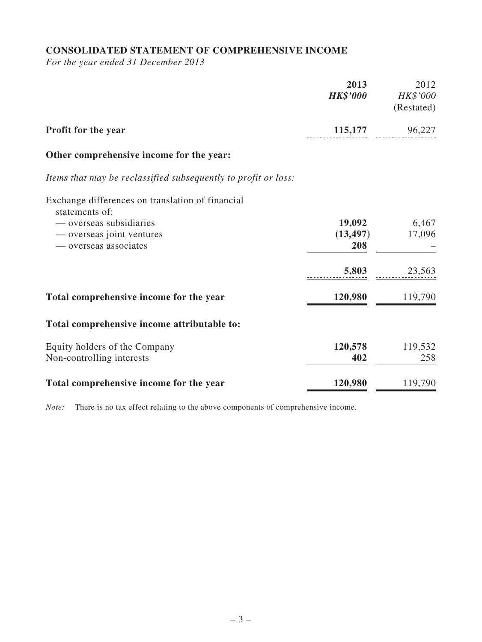# **CONSOLIDATED STATEMENT OF COMPREHENSIVE INCOME**

*For the year ended 31 December 2013*

|                                                                    | 2013<br><b>HK\$'000</b> | 2012<br>HK\$'000<br>(Restated) |
|--------------------------------------------------------------------|-------------------------|--------------------------------|
| Profit for the year                                                | 115,177                 | 96,227                         |
| Other comprehensive income for the year:                           |                         |                                |
| Items that may be reclassified subsequently to profit or loss:     |                         |                                |
| Exchange differences on translation of financial<br>statements of: |                         |                                |
| — overseas subsidiaries                                            | 19,092                  | 6,467                          |
| — overseas joint ventures                                          | (13, 497)               | 17,096                         |
| — overseas associates                                              | 208                     |                                |
|                                                                    | 5,803                   | 23,563                         |
| Total comprehensive income for the year                            | 120,980                 | 119,790                        |
| Total comprehensive income attributable to:                        |                         |                                |
| Equity holders of the Company                                      | 120,578                 | 119,532                        |
| Non-controlling interests                                          | 402                     | 258                            |
| Total comprehensive income for the year                            | 120,980                 | 119,790                        |

*Note:* There is no tax effect relating to the above components of comprehensive income.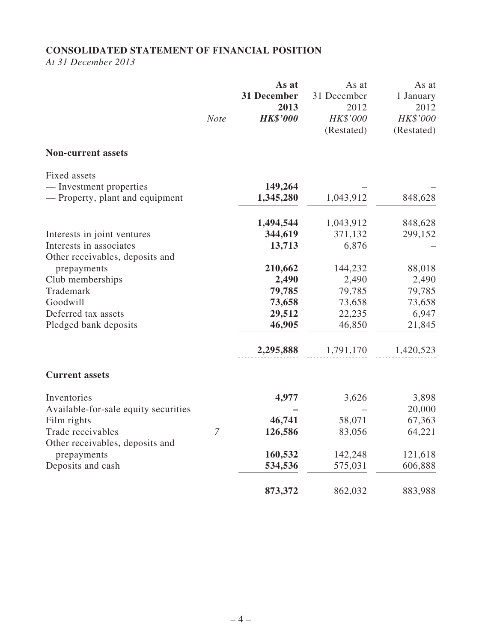# **CONSOLIDATED STATEMENT OF FINANCIAL POSITION**

*At 31 December 2013*

|                                                            | <b>Note</b>    | As at<br>31 December<br>2013<br><b>HK\$'000</b> | As at<br>31 December<br>2012<br>HK\$'000<br>(Restated) | As at<br>1 January<br>2012<br>HK\$'000<br>(Restated) |
|------------------------------------------------------------|----------------|-------------------------------------------------|--------------------------------------------------------|------------------------------------------------------|
| <b>Non-current assets</b>                                  |                |                                                 |                                                        |                                                      |
| Fixed assets                                               |                |                                                 |                                                        |                                                      |
| — Investment properties<br>— Property, plant and equipment |                | 149,264<br>1,345,280                            | 1,043,912                                              | 848,628                                              |
|                                                            |                | 1,494,544                                       | 1,043,912                                              | 848,628                                              |
| Interests in joint ventures                                |                | 344,619                                         | 371,132                                                | 299,152                                              |
| Interests in associates                                    |                | 13,713                                          | 6,876                                                  |                                                      |
| Other receivables, deposits and                            |                |                                                 |                                                        |                                                      |
| prepayments                                                |                | 210,662                                         | 144,232                                                | 88,018                                               |
| Club memberships<br>Trademark                              |                | 2,490<br>79,785                                 | 2,490<br>79,785                                        | 2,490<br>79,785                                      |
| Goodwill                                                   |                | 73,658                                          | 73,658                                                 | 73,658                                               |
| Deferred tax assets                                        |                | 29,512                                          | 22,235                                                 | 6,947                                                |
| Pledged bank deposits                                      |                | 46,905                                          | 46,850                                                 | 21,845                                               |
|                                                            |                | 2,295,888                                       | 1,791,170                                              | 1,420,523                                            |
| <b>Current assets</b>                                      |                |                                                 |                                                        |                                                      |
| Inventories                                                |                | 4,977                                           | 3,626                                                  | 3,898                                                |
| Available-for-sale equity securities                       |                |                                                 |                                                        | 20,000                                               |
| Film rights                                                |                | 46,741                                          | 58,071                                                 | 67,363                                               |
| Trade receivables                                          | $\overline{7}$ | 126,586                                         | 83,056                                                 | 64,221                                               |
| Other receivables, deposits and                            |                |                                                 |                                                        |                                                      |
| prepayments                                                |                | 160,532<br>534,536                              | 142,248                                                | 121,618                                              |
| Deposits and cash                                          |                |                                                 | 575,031                                                | 606,888                                              |
|                                                            |                | 873,372                                         | 862,032                                                | 883,988                                              |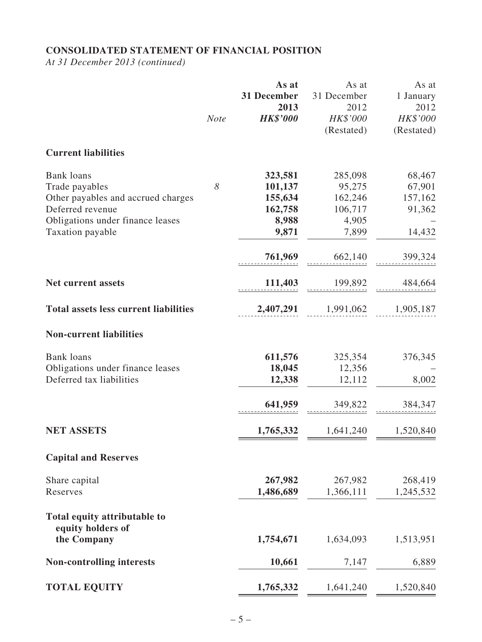# **CONSOLIDATED STATEMENT OF FINANCIAL POSITION**

*At 31 December 2013 (continued)*

|                                                                                                                                                       | <b>Note</b> | As at<br>31 December<br>2013<br><b>HK\$'000</b>            | As at<br>31 December<br>2012<br>HK\$'000<br>(Restated)    | As at<br>1 January<br>2012<br>HK\$'000<br>(Restated) |
|-------------------------------------------------------------------------------------------------------------------------------------------------------|-------------|------------------------------------------------------------|-----------------------------------------------------------|------------------------------------------------------|
| <b>Current liabilities</b>                                                                                                                            |             |                                                            |                                                           |                                                      |
| <b>Bank loans</b><br>Trade payables<br>Other payables and accrued charges<br>Deferred revenue<br>Obligations under finance leases<br>Taxation payable | 8           | 323,581<br>101,137<br>155,634<br>162,758<br>8,988<br>9,871 | 285,098<br>95,275<br>162,246<br>106,717<br>4,905<br>7,899 | 68,467<br>67,901<br>157,162<br>91,362<br>14,432      |
|                                                                                                                                                       |             | 761,969                                                    | 662,140                                                   | 399,324                                              |
| <b>Net current assets</b>                                                                                                                             |             | 111,403                                                    | 199,892                                                   | 484,664                                              |
| <b>Total assets less current liabilities</b>                                                                                                          |             | 2,407,291                                                  | 1,991,062                                                 | 1,905,187                                            |
| <b>Non-current liabilities</b>                                                                                                                        |             |                                                            |                                                           |                                                      |
| <b>Bank</b> loans<br>Obligations under finance leases<br>Deferred tax liabilities                                                                     |             | 611,576<br>18,045<br>12,338                                | 325,354<br>12,356<br>12,112                               | 376,345<br>8,002                                     |
|                                                                                                                                                       |             | 641,959                                                    | 349,822                                                   | 384,347                                              |
| <b>NET ASSETS</b>                                                                                                                                     |             | 1,765,332                                                  | 1,641,240                                                 | 1,520,840                                            |
| <b>Capital and Reserves</b>                                                                                                                           |             |                                                            |                                                           |                                                      |
| Share capital<br>Reserves                                                                                                                             |             | 267,982<br>1,486,689                                       | 267,982<br>1,366,111                                      | 268,419<br>1,245,532                                 |
| Total equity attributable to<br>equity holders of                                                                                                     |             |                                                            |                                                           |                                                      |
| the Company                                                                                                                                           |             | 1,754,671                                                  | 1,634,093                                                 | 1,513,951                                            |
| <b>Non-controlling interests</b>                                                                                                                      |             | 10,661                                                     | 7,147                                                     | 6,889                                                |
| <b>TOTAL EQUITY</b>                                                                                                                                   |             | 1,765,332                                                  | 1,641,240                                                 | 1,520,840                                            |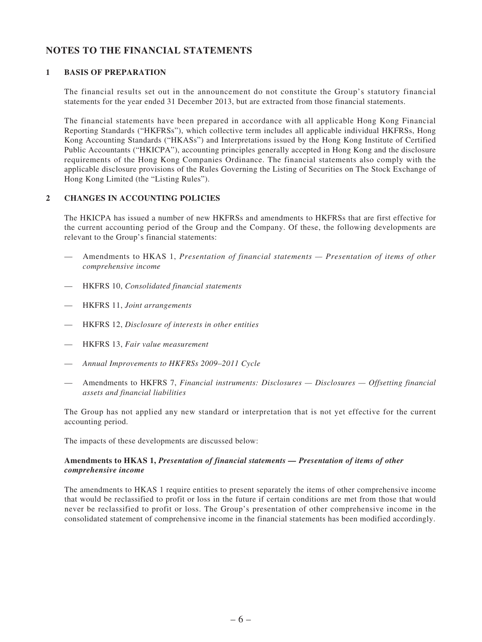## **NOTES TO THE FINANCIAL STATEMENTS**

### **1 BASIS OF PREPARATION**

The financial results set out in the announcement do not constitute the Group's statutory financial statements for the year ended 31 December 2013, but are extracted from those financial statements.

The financial statements have been prepared in accordance with all applicable Hong Kong Financial Reporting Standards ("HKFRSs"), which collective term includes all applicable individual HKFRSs, Hong Kong Accounting Standards ("HKASs") and Interpretations issued by the Hong Kong Institute of Certified Public Accountants ("HKICPA"), accounting principles generally accepted in Hong Kong and the disclosure requirements of the Hong Kong Companies Ordinance. The financial statements also comply with the applicable disclosure provisions of the Rules Governing the Listing of Securities on The Stock Exchange of Hong Kong Limited (the "Listing Rules").

### **2 CHANGES IN ACCOUNTING POLICIES**

The HKICPA has issued a number of new HKFRSs and amendments to HKFRSs that are first effective for the current accounting period of the Group and the Company. Of these, the following developments are relevant to the Group's financial statements:

- Amendments to HKAS 1, *Presentation of financial statements Presentation of items of other comprehensive income*
- — HKFRS 10, *Consolidated financial statements*
- — HKFRS 11, *Joint arrangements*
- — HKFRS 12, *Disclosure of interests in other entities*
- — HKFRS 13, *Fair value measurement*
- *Annual Improvements to HKFRSs 2009–2011 Cycle*
- Amendments to HKFRS 7, *Financial instruments: Disclosures Disclosures Offsetting financial assets and financial liabilities*

The Group has not applied any new standard or interpretation that is not yet effective for the current accounting period.

The impacts of these developments are discussed below:

#### **Amendments to HKAS 1,** *Presentation of financial statements — Presentation of items of other comprehensive income*

The amendments to HKAS 1 require entities to present separately the items of other comprehensive income that would be reclassified to profit or loss in the future if certain conditions are met from those that would never be reclassified to profit or loss. The Group's presentation of other comprehensive income in the consolidated statement of comprehensive income in the financial statements has been modified accordingly.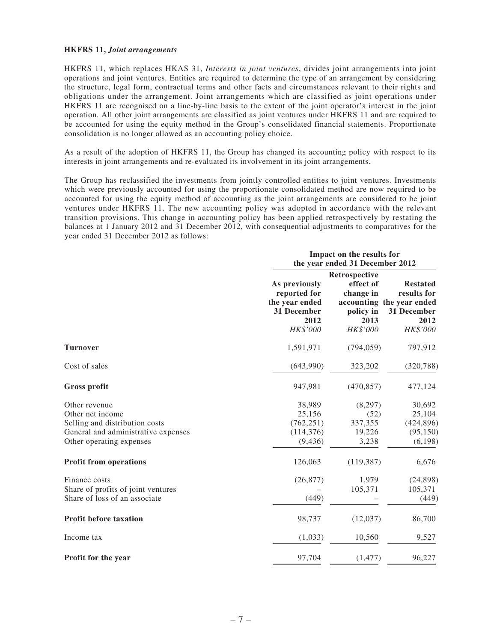#### **HKFRS 11,** *Joint arrangements*

HKFRS 11, which replaces HKAS 31, *Interests in joint ventures*, divides joint arrangements into joint operations and joint ventures. Entities are required to determine the type of an arrangement by considering the structure, legal form, contractual terms and other facts and circumstances relevant to their rights and obligations under the arrangement. Joint arrangements which are classified as joint operations under HKFRS 11 are recognised on a line-by-line basis to the extent of the joint operator's interest in the joint operation. All other joint arrangements are classified as joint ventures under HKFRS 11 and are required to be accounted for using the equity method in the Group's consolidated financial statements. Proportionate consolidation is no longer allowed as an accounting policy choice.

As a result of the adoption of HKFRS 11, the Group has changed its accounting policy with respect to its interests in joint arrangements and re-evaluated its involvement in its joint arrangements.

The Group has reclassified the investments from jointly controlled entities to joint ventures. Investments which were previously accounted for using the proportionate consolidated method are now required to be accounted for using the equity method of accounting as the joint arrangements are considered to be joint ventures under HKFRS 11. The new accounting policy was adopted in accordance with the relevant transition provisions. This change in accounting policy has been applied retrospectively by restating the balances at 1 January 2012 and 31 December 2012, with consequential adjustments to comparatives for the year ended 31 December 2012 as follows:

|                                                                                                                                        |                                                                                    | Impact on the results for<br>the year ended 31 December 2012             |                                                                                                |  |  |  |
|----------------------------------------------------------------------------------------------------------------------------------------|------------------------------------------------------------------------------------|--------------------------------------------------------------------------|------------------------------------------------------------------------------------------------|--|--|--|
|                                                                                                                                        | As previously<br>reported for<br>the year ended<br>31 December<br>2012<br>HK\$'000 | Retrospective<br>effect of<br>change in<br>policy in<br>2013<br>HK\$'000 | <b>Restated</b><br>results for<br>accounting the year ended<br>31 December<br>2012<br>HK\$'000 |  |  |  |
| <b>Turnover</b>                                                                                                                        | 1,591,971                                                                          | (794, 059)                                                               | 797,912                                                                                        |  |  |  |
| Cost of sales                                                                                                                          | (643,990)                                                                          | 323,202                                                                  | (320, 788)                                                                                     |  |  |  |
| <b>Gross profit</b>                                                                                                                    | 947,981                                                                            | (470, 857)                                                               | 477,124                                                                                        |  |  |  |
| Other revenue<br>Other net income<br>Selling and distribution costs<br>General and administrative expenses<br>Other operating expenses | 38,989<br>25,156<br>(762, 251)<br>(114, 376)<br>(9, 436)                           | (8,297)<br>(52)<br>337,355<br>19,226<br>3,238                            | 30,692<br>25,104<br>(424, 896)<br>(95,150)<br>(6, 198)                                         |  |  |  |
| <b>Profit from operations</b>                                                                                                          | 126,063                                                                            | (119, 387)                                                               | 6,676                                                                                          |  |  |  |
| Finance costs<br>Share of profits of joint ventures<br>Share of loss of an associate                                                   | (26, 877)<br>(449)                                                                 | 1,979<br>105,371                                                         | (24,898)<br>105,371<br>(449)                                                                   |  |  |  |
| <b>Profit before taxation</b>                                                                                                          | 98,737                                                                             | (12,037)                                                                 | 86,700                                                                                         |  |  |  |
| Income tax                                                                                                                             | (1,033)                                                                            | 10,560                                                                   | 9,527                                                                                          |  |  |  |
| <b>Profit for the year</b>                                                                                                             | 97,704                                                                             | (1, 477)                                                                 | 96,227                                                                                         |  |  |  |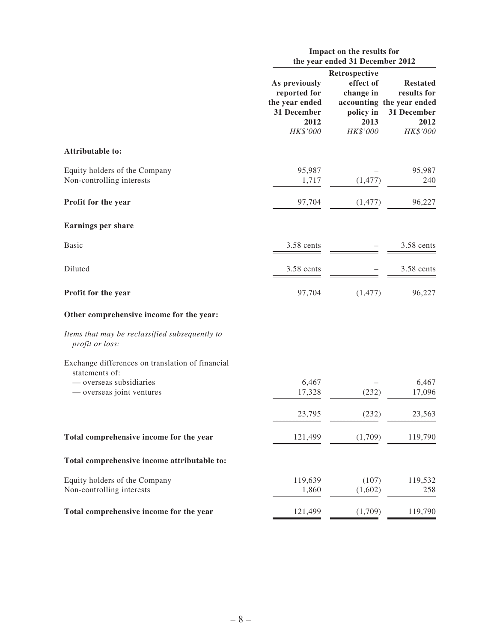|                                                                    | Impact on the results for<br>the year ended 31 December 2012                       |                                                                          |                                                                                                |  |  |
|--------------------------------------------------------------------|------------------------------------------------------------------------------------|--------------------------------------------------------------------------|------------------------------------------------------------------------------------------------|--|--|
|                                                                    | As previously<br>reported for<br>the year ended<br>31 December<br>2012<br>HK\$'000 | Retrospective<br>effect of<br>change in<br>policy in<br>2013<br>HK\$'000 | <b>Restated</b><br>results for<br>accounting the year ended<br>31 December<br>2012<br>HK\$'000 |  |  |
| Attributable to:                                                   |                                                                                    |                                                                          |                                                                                                |  |  |
| Equity holders of the Company<br>Non-controlling interests         | 95,987<br>1,717                                                                    | (1, 477)                                                                 | 95,987<br>240                                                                                  |  |  |
| Profit for the year                                                | 97,704                                                                             | (1, 477)                                                                 | 96,227                                                                                         |  |  |
| <b>Earnings per share</b>                                          |                                                                                    |                                                                          |                                                                                                |  |  |
| <b>Basic</b>                                                       | 3.58 cents                                                                         |                                                                          | 3.58 cents                                                                                     |  |  |
| Diluted                                                            | 3.58 cents                                                                         |                                                                          | 3.58 cents                                                                                     |  |  |
| Profit for the year                                                | 97,704                                                                             | (1, 477)                                                                 | 96,227                                                                                         |  |  |
| Other comprehensive income for the year:                           |                                                                                    |                                                                          |                                                                                                |  |  |
| Items that may be reclassified subsequently to<br>profit or loss:  |                                                                                    |                                                                          |                                                                                                |  |  |
| Exchange differences on translation of financial<br>statements of: |                                                                                    |                                                                          |                                                                                                |  |  |
| — overseas subsidiaries<br>— overseas joint ventures               | 6,467<br>17,328                                                                    | (232)                                                                    | 6,467<br>17,096                                                                                |  |  |
|                                                                    | 23,795                                                                             | (232)                                                                    | 23,563                                                                                         |  |  |
| Total comprehensive income for the year                            | 121,499                                                                            | (1,709)                                                                  | 119,790                                                                                        |  |  |
| Total comprehensive income attributable to:                        |                                                                                    |                                                                          |                                                                                                |  |  |
| Equity holders of the Company<br>Non-controlling interests         | 119,639<br>1,860                                                                   | (107)<br>(1,602)                                                         | 119,532<br>258                                                                                 |  |  |
| Total comprehensive income for the year                            | 121,499                                                                            | (1,709)                                                                  | 119,790                                                                                        |  |  |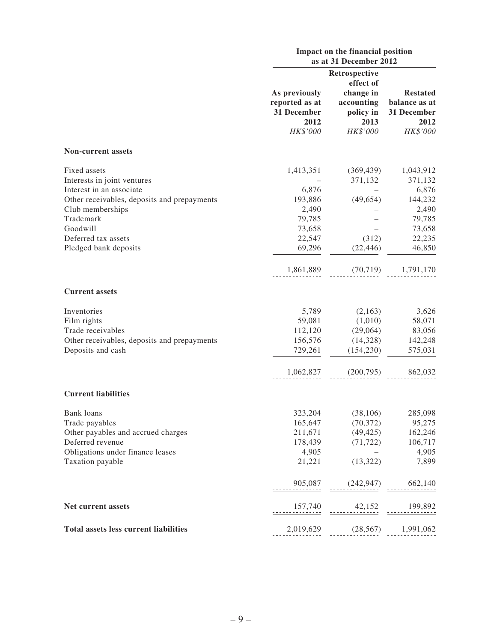|                                              | Impact on the financial position<br>as at 31 December 2012         |                                                          |                                                                     |  |  |
|----------------------------------------------|--------------------------------------------------------------------|----------------------------------------------------------|---------------------------------------------------------------------|--|--|
|                                              |                                                                    | Retrospective<br>effect of                               |                                                                     |  |  |
|                                              | As previously<br>reported as at<br>31 December<br>2012<br>HK\$'000 | change in<br>accounting<br>policy in<br>2013<br>HK\$'000 | <b>Restated</b><br>balance as at<br>31 December<br>2012<br>HK\$'000 |  |  |
| <b>Non-current assets</b>                    |                                                                    |                                                          |                                                                     |  |  |
| Fixed assets<br>Interests in joint ventures  | 1,413,351                                                          | (369, 439)<br>371,132                                    | 1,043,912<br>371,132                                                |  |  |
| Interest in an associate                     | 6,876                                                              |                                                          | 6,876                                                               |  |  |
| Other receivables, deposits and prepayments  | 193,886                                                            | (49, 654)                                                | 144,232                                                             |  |  |
| Club memberships                             | 2,490                                                              |                                                          | 2,490                                                               |  |  |
| Trademark                                    | 79,785                                                             |                                                          | 79,785                                                              |  |  |
| Goodwill                                     | 73,658                                                             |                                                          | 73,658                                                              |  |  |
| Deferred tax assets                          | 22,547                                                             | (312)                                                    | 22,235                                                              |  |  |
| Pledged bank deposits                        | 69,296                                                             | (22, 446)                                                | 46,850                                                              |  |  |
|                                              | 1,861,889                                                          | (70, 719)                                                | 1,791,170                                                           |  |  |
| <b>Current assets</b>                        |                                                                    |                                                          |                                                                     |  |  |
| Inventories                                  | 5,789                                                              | (2,163)                                                  | 3,626                                                               |  |  |
| Film rights                                  | 59,081                                                             | (1,010)                                                  | 58,071                                                              |  |  |
| Trade receivables                            | 112,120                                                            | (29,064)                                                 | 83,056                                                              |  |  |
| Other receivables, deposits and prepayments  | 156,576                                                            | (14,328)                                                 | 142,248                                                             |  |  |
| Deposits and cash                            | 729,261                                                            | (154, 230)                                               | 575,031                                                             |  |  |
|                                              | 1,062,827                                                          | (200, 795)                                               | 862,032                                                             |  |  |
| <b>Current liabilities</b>                   |                                                                    |                                                          |                                                                     |  |  |
| <b>Bank</b> loans                            | 323,204                                                            | (38, 106)                                                | 285,098                                                             |  |  |
| Trade payables                               | 165,647                                                            | (70, 372)                                                | 95,275                                                              |  |  |
| Other payables and accrued charges           | 211,671                                                            | (49, 425)                                                | 162,246                                                             |  |  |
| Deferred revenue                             | 178,439                                                            | (71, 722)                                                | 106,717                                                             |  |  |
| Obligations under finance leases             | 4,905                                                              |                                                          | 4,905                                                               |  |  |
| Taxation payable                             | 21,221                                                             | (13, 322)                                                | 7,899                                                               |  |  |
|                                              | 905,087                                                            | (242, 947)                                               | 662,140                                                             |  |  |
| Net current assets                           | $\frac{157,740}{1}$                                                | 42,152                                                   | <u>199,892</u><br>-----------                                       |  |  |
| <b>Total assets less current liabilities</b> | 2,019,629                                                          | (28, 567)                                                | 1,991,062                                                           |  |  |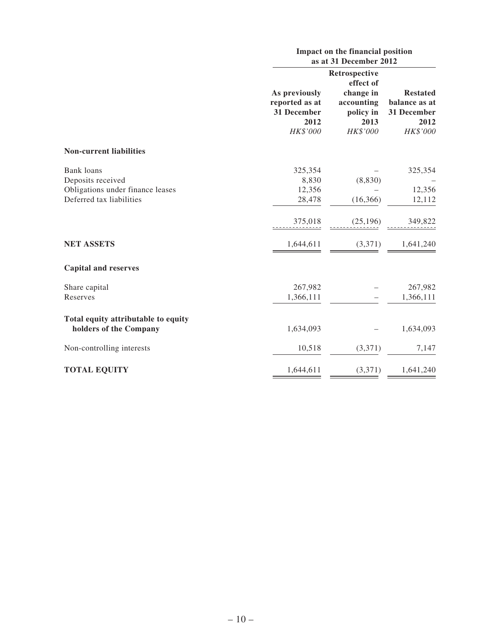|                                     | Impact on the financial position<br>as at 31 December 2012 |                                              |                                      |  |  |
|-------------------------------------|------------------------------------------------------------|----------------------------------------------|--------------------------------------|--|--|
|                                     | As previously                                              | <b>Restated</b>                              |                                      |  |  |
|                                     | reported as at<br>31 December<br>2012                      | change in<br>accounting<br>policy in<br>2013 | balance as at<br>31 December<br>2012 |  |  |
|                                     | HK\$'000                                                   | HK\$'000                                     | HK\$'000                             |  |  |
| <b>Non-current liabilities</b>      |                                                            |                                              |                                      |  |  |
| Bank loans                          | 325,354                                                    |                                              | 325,354                              |  |  |
| Deposits received                   | 8,830                                                      | (8, 830)                                     |                                      |  |  |
| Obligations under finance leases    | 12,356                                                     |                                              | 12,356                               |  |  |
| Deferred tax liabilities            | 28,478                                                     | (16, 366)                                    | 12,112                               |  |  |
|                                     | 375,018                                                    | (25, 196)                                    | 349,822                              |  |  |
| <b>NET ASSETS</b>                   | 1,644,611                                                  | (3,371)                                      | 1,641,240                            |  |  |
| <b>Capital and reserves</b>         |                                                            |                                              |                                      |  |  |
| Share capital                       | 267,982                                                    |                                              | 267,982                              |  |  |
| Reserves                            | 1,366,111                                                  |                                              | 1,366,111                            |  |  |
| Total equity attributable to equity |                                                            |                                              |                                      |  |  |
| holders of the Company              | 1,634,093                                                  |                                              | 1,634,093                            |  |  |
| Non-controlling interests           | 10,518                                                     | (3,371)                                      | 7,147                                |  |  |
| <b>TOTAL EQUITY</b>                 | 1,644,611                                                  | (3,371)                                      | 1,641,240                            |  |  |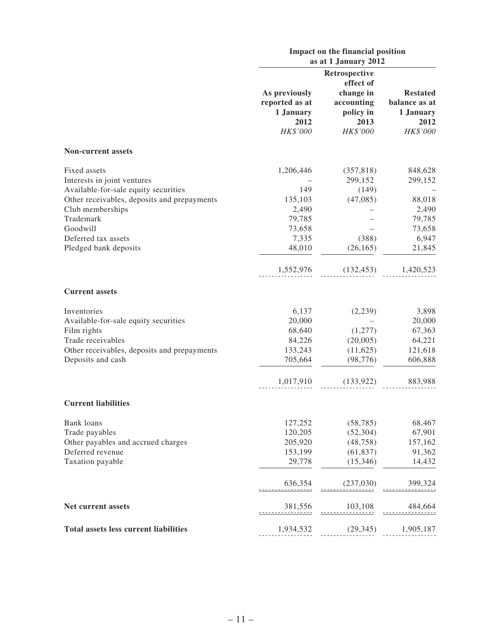|                                                                                     | Impact on the financial position<br>as at 1 January 2012         |                                                                       |                                                                   |  |  |
|-------------------------------------------------------------------------------------|------------------------------------------------------------------|-----------------------------------------------------------------------|-------------------------------------------------------------------|--|--|
|                                                                                     |                                                                  | Retrospective                                                         |                                                                   |  |  |
|                                                                                     | As previously<br>reported as at<br>1 January<br>2012<br>HK\$'000 | effect of<br>change in<br>accounting<br>policy in<br>2013<br>HK\$'000 | <b>Restated</b><br>balance as at<br>1 January<br>2012<br>HK\$'000 |  |  |
| <b>Non-current assets</b>                                                           |                                                                  |                                                                       |                                                                   |  |  |
| Fixed assets<br>Interests in joint ventures                                         | 1,206,446                                                        | (357, 818)<br>299,152                                                 | 848,628<br>299,152                                                |  |  |
| Available-for-sale equity securities<br>Other receivables, deposits and prepayments | 149<br>135,103                                                   | (149)<br>(47,085)                                                     | 88,018                                                            |  |  |
| Club memberships<br>Trademark<br>Goodwill                                           | 2,490<br>79,785<br>73,658                                        |                                                                       | 2,490<br>79,785<br>73,658                                         |  |  |
| Deferred tax assets<br>Pledged bank deposits                                        | 7,335<br>48,010                                                  | (388)<br>(26, 165)                                                    | 6,947<br>21,845                                                   |  |  |
|                                                                                     | 1,552,976                                                        | (132, 453)                                                            | 1,420,523                                                         |  |  |
| <b>Current assets</b>                                                               |                                                                  |                                                                       |                                                                   |  |  |
| Inventories<br>Available-for-sale equity securities                                 | 6,137<br>20,000                                                  | (2,239)                                                               | 3,898<br>20,000                                                   |  |  |
| Film rights<br>Trade receivables<br>Other receivables, deposits and prepayments     | 68,640<br>84,226<br>133,243                                      | (1,277)<br>(20,005)<br>(11,625)                                       | 67,363<br>64,221<br>121,618                                       |  |  |
| Deposits and cash                                                                   | 705,664                                                          | (98, 776)                                                             | 606,888                                                           |  |  |
|                                                                                     | 1,017,910                                                        | (133, 922)                                                            | 883,988                                                           |  |  |
| <b>Current liabilities</b>                                                          |                                                                  |                                                                       |                                                                   |  |  |
| <b>Bank</b> loans<br>Trade payables                                                 | 127,252<br>120,205                                               | (58, 785)<br>(52, 304)                                                | 68,467<br>67,901                                                  |  |  |
| Other payables and accrued charges<br>Deferred revenue                              | 205,920<br>153,199                                               | (48, 758)<br>(61, 837)                                                | 157,162<br>91,362                                                 |  |  |
| Taxation payable                                                                    | 29,778                                                           | (15,346)                                                              | 14,432                                                            |  |  |
|                                                                                     | 636,354                                                          | (237,030)                                                             | 399,324                                                           |  |  |
| Net current assets                                                                  | 381,556                                                          | 103,108                                                               | 484,664                                                           |  |  |
| <b>Total assets less current liabilities</b>                                        | 1,934,532                                                        | (29, 345)                                                             | 1,905,187                                                         |  |  |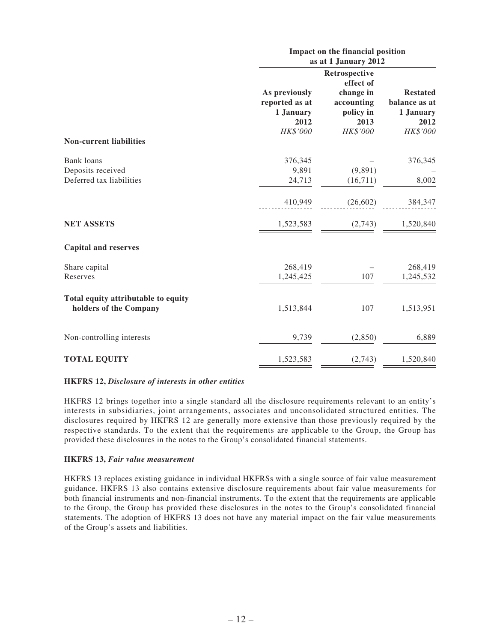|                                                                    |                                                                  | Impact on the financial position<br>as at 1 January 2012 |                                                                   |  |  |  |
|--------------------------------------------------------------------|------------------------------------------------------------------|----------------------------------------------------------|-------------------------------------------------------------------|--|--|--|
|                                                                    |                                                                  | Retrospective<br>effect of                               |                                                                   |  |  |  |
|                                                                    | As previously<br>reported as at<br>1 January<br>2012<br>HK\$'000 | change in<br>accounting<br>policy in<br>2013<br>HK\$'000 | <b>Restated</b><br>balance as at<br>1 January<br>2012<br>HK\$'000 |  |  |  |
| <b>Non-current liabilities</b>                                     |                                                                  |                                                          |                                                                   |  |  |  |
| <b>Bank</b> loans<br>Deposits received<br>Deferred tax liabilities | 376,345<br>9,891<br>24,713                                       | (9,891)<br>(16,711)                                      | 376,345<br>8,002                                                  |  |  |  |
|                                                                    | 410,949                                                          | (26,602)                                                 | 384,347                                                           |  |  |  |
| <b>NET ASSETS</b>                                                  | 1,523,583                                                        | (2,743)                                                  | 1,520,840                                                         |  |  |  |
| <b>Capital and reserves</b>                                        |                                                                  |                                                          |                                                                   |  |  |  |
| Share capital<br>Reserves                                          | 268,419<br>1,245,425                                             | 107                                                      | 268,419<br>1,245,532                                              |  |  |  |
| Total equity attributable to equity<br>holders of the Company      | 1,513,844                                                        | 107                                                      | 1,513,951                                                         |  |  |  |
| Non-controlling interests                                          | 9,739                                                            | (2,850)                                                  | 6,889                                                             |  |  |  |
| <b>TOTAL EQUITY</b>                                                | 1,523,583                                                        | (2,743)                                                  | 1,520,840                                                         |  |  |  |

#### **HKFRS 12,** *Disclosure of interests in other entities*

HKFRS 12 brings together into a single standard all the disclosure requirements relevant to an entity's interests in subsidiaries, joint arrangements, associates and unconsolidated structured entities. The disclosures required by HKFRS 12 are generally more extensive than those previously required by the respective standards. To the extent that the requirements are applicable to the Group, the Group has provided these disclosures in the notes to the Group's consolidated financial statements.

#### **HKFRS 13,** *Fair value measurement*

HKFRS 13 replaces existing guidance in individual HKFRSs with a single source of fair value measurement guidance. HKFRS 13 also contains extensive disclosure requirements about fair value measurements for both financial instruments and non-financial instruments. To the extent that the requirements are applicable to the Group, the Group has provided these disclosures in the notes to the Group's consolidated financial statements. The adoption of HKFRS 13 does not have any material impact on the fair value measurements of the Group's assets and liabilities.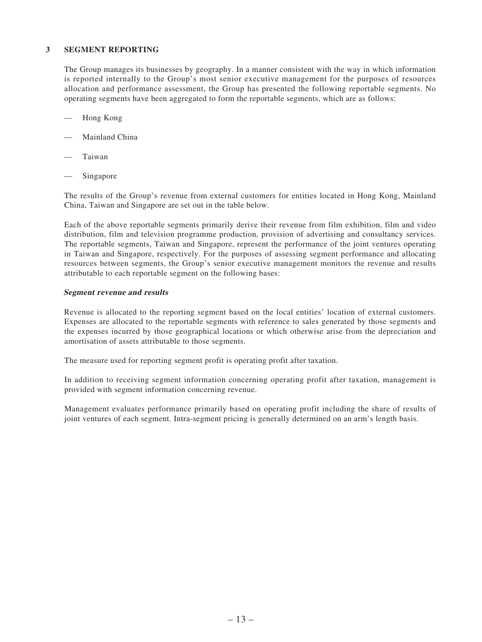#### **3 SEGMENT REPORTING**

The Group manages its businesses by geography. In a manner consistent with the way in which information is reported internally to the Group's most senior executive management for the purposes of resources allocation and performance assessment, the Group has presented the following reportable segments. No operating segments have been aggregated to form the reportable segments, which are as follows:

- Hong Kong
- Mainland China
- **Taiwan**
- Singapore

The results of the Group's revenue from external customers for entities located in Hong Kong, Mainland China, Taiwan and Singapore are set out in the table below.

Each of the above reportable segments primarily derive their revenue from film exhibition, film and video distribution, film and television programme production, provision of advertising and consultancy services. The reportable segments, Taiwan and Singapore, represent the performance of the joint ventures operating in Taiwan and Singapore, respectively. For the purposes of assessing segment performance and allocating resources between segments, the Group's senior executive management monitors the revenue and results attributable to each reportable segment on the following bases:

#### **Segment revenue and results**

Revenue is allocated to the reporting segment based on the local entities' location of external customers. Expenses are allocated to the reportable segments with reference to sales generated by those segments and the expenses incurred by those geographical locations or which otherwise arise from the depreciation and amortisation of assets attributable to those segments.

The measure used for reporting segment profit is operating profit after taxation.

In addition to receiving segment information concerning operating profit after taxation, management is provided with segment information concerning revenue.

Management evaluates performance primarily based on operating profit including the share of results of joint ventures of each segment. Intra-segment pricing is generally determined on an arm's length basis.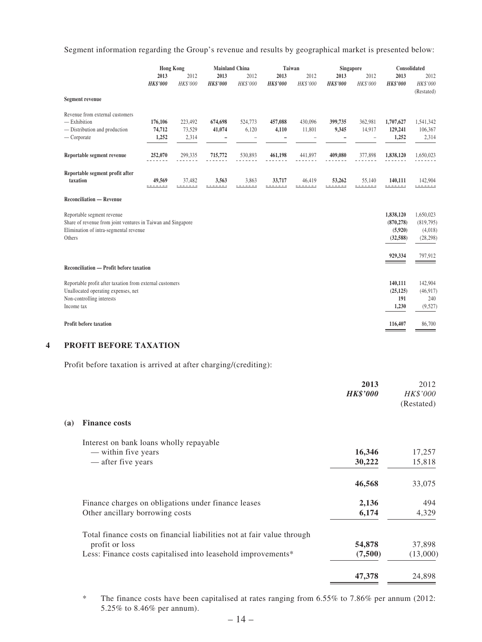Segment information regarding the Group's revenue and results by geographical market is presented below:

|                                                                                                                                                | <b>Hong Kong</b>           |                            | <b>Mainland China</b>   |                  | Taiwan                  |                   | Singapore               |                   | Consolidated                                    |                                                |
|------------------------------------------------------------------------------------------------------------------------------------------------|----------------------------|----------------------------|-------------------------|------------------|-------------------------|-------------------|-------------------------|-------------------|-------------------------------------------------|------------------------------------------------|
|                                                                                                                                                | 2013<br><b>HK\$'000</b>    | 2012<br>HK\$'000           | 2013<br><b>HK\$'000</b> | 2012<br>HK\$'000 | 2013<br><b>HK\$'000</b> | 2012<br>HK\$'000  | 2013<br><b>HK\$'000</b> | 2012<br>HK\$'000  | 2013<br><b>HK\$'000</b>                         | 2012<br>HK\$'000<br>(Restated)                 |
| <b>Segment revenue</b>                                                                                                                         |                            |                            |                         |                  |                         |                   |                         |                   |                                                 |                                                |
| Revenue from external customers<br>$-$ Exhibition<br>- Distribution and production<br>— Corporate                                              | 176,106<br>74,712<br>1,252 | 223,492<br>73,529<br>2,314 | 674,698<br>41,074       | 524,773<br>6,120 | 457,088<br>4,110        | 430,096<br>11,801 | 399,735<br>9,345        | 362,981<br>14,917 | 1,707,627<br>129,241<br>1,252                   | 1,541,342<br>106,367<br>2,314                  |
| Reportable segment revenue                                                                                                                     | 252,070                    | 299,335                    | 715,772                 | 530,893          | 461,198                 | 441,897           | 409,080                 | 377,898           | 1,838,120                                       | 1,650,023                                      |
| Reportable segment profit after<br>taxation                                                                                                    | 49,569                     | 37,482                     | 3,563                   | 3,863            | 33,717                  | 46,419            | 53,262                  | 55,140            | 140,111                                         | 142,904                                        |
| <b>Reconciliation — Revenue</b>                                                                                                                |                            |                            |                         |                  |                         |                   |                         |                   |                                                 |                                                |
| Reportable segment revenue<br>Share of revenue from joint ventures in Taiwan and Singapore<br>Elimination of intra-segmental revenue<br>Others |                            |                            |                         |                  |                         |                   |                         |                   | 1,838,120<br>(870, 278)<br>(5,920)<br>(32, 588) | 1,650,023<br>(819,795)<br>(4,018)<br>(28, 298) |
|                                                                                                                                                |                            |                            |                         |                  |                         |                   |                         |                   | 929,334                                         | 797,912                                        |
| Reconciliation — Profit before taxation                                                                                                        |                            |                            |                         |                  |                         |                   |                         |                   |                                                 |                                                |
| Reportable profit after taxation from external customers<br>Unallocated operating expenses, net<br>Non-controlling interests<br>Income tax     |                            |                            |                         |                  |                         |                   |                         |                   | 140,111<br>(25, 125)<br>191<br>1,230            | 142,904<br>(46, 917)<br>240<br>(9,527)         |
| <b>Profit before taxation</b>                                                                                                                  |                            |                            |                         |                  |                         |                   |                         |                   | 116,407                                         | 86,700                                         |

#### **4 PROFIT BEFORE TAXATION**

Profit before taxation is arrived at after charging/(crediting):

|     |                                                                        | 2013<br><b>HK\$'000</b> | 2012<br>HK\$'000<br>(Restated) |
|-----|------------------------------------------------------------------------|-------------------------|--------------------------------|
| (a) | <b>Finance costs</b>                                                   |                         |                                |
|     | Interest on bank loans wholly repayable                                |                         |                                |
|     | — within five years                                                    | 16,346                  | 17,257                         |
|     | — after five years                                                     | 30,222                  | 15,818                         |
|     |                                                                        | 46,568                  | 33,075                         |
|     | Finance charges on obligations under finance leases                    | 2,136                   | 494                            |
|     | Other ancillary borrowing costs                                        | 6,174                   | 4,329                          |
|     | Total finance costs on financial liabilities not at fair value through |                         |                                |
|     | profit or loss                                                         | 54,878                  | 37,898                         |
|     | Less: Finance costs capitalised into leasehold improvements*           | (7,500)                 | (13,000)                       |
|     |                                                                        | 47,378                  | 24,898                         |
|     |                                                                        |                         |                                |

\* The finance costs have been capitalised at rates ranging from 6.55% to 7.86% per annum (2012: 5.25% to 8.46% per annum).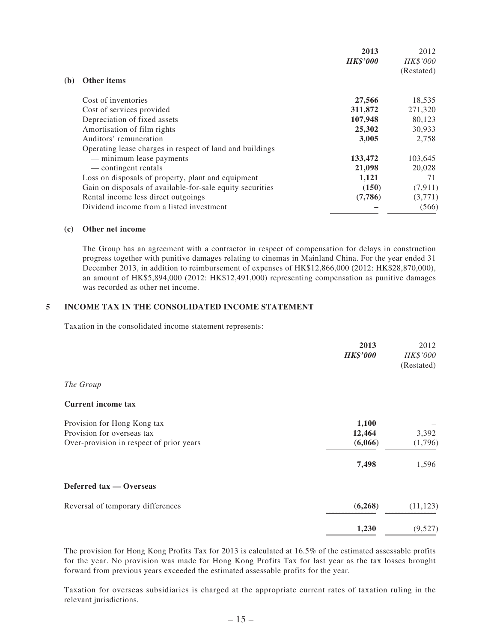| Other items<br>(b)<br>Cost of inventories<br>27,566<br>311,872<br>Cost of services provided | 2012<br><b>HK\$'000</b><br>(Restated) |
|---------------------------------------------------------------------------------------------|---------------------------------------|
|                                                                                             |                                       |
|                                                                                             | 18,535                                |
|                                                                                             | 271,320                               |
| Depreciation of fixed assets<br>107,948                                                     | 80,123                                |
| Amortisation of film rights<br>25,302                                                       | 30,933                                |
| Auditors' remuneration<br>3,005                                                             | 2,758                                 |
| Operating lease charges in respect of land and buildings                                    |                                       |
| 133,472<br>— minimum lease payments                                                         | 103,645                               |
| 21,098<br>— contingent rentals                                                              | 20,028                                |
| 1,121<br>Loss on disposals of property, plant and equipment                                 | 71                                    |
| (150)<br>Gain on disposals of available-for-sale equity securities                          | (7,911)                               |
| (7,786)<br>Rental income less direct outgoings                                              | (3,771)                               |
| Dividend income from a listed investment                                                    | (566)                                 |

#### **(c) Other net income**

The Group has an agreement with a contractor in respect of compensation for delays in construction progress together with punitive damages relating to cinemas in Mainland China. For the year ended 31 December 2013, in addition to reimbursement of expenses of HK\$12,866,000 (2012: HK\$28,870,000), an amount of HK\$5,894,000 (2012: HK\$12,491,000) representing compensation as punitive damages was recorded as other net income.

### **5 INCOME TAX IN THE CONSOLIDATED INCOME STATEMENT**

Taxation in the consolidated income statement represents:

| 2013                                                | 2012       |
|-----------------------------------------------------|------------|
| <b>HK\$'000</b>                                     | HK\$'000   |
|                                                     | (Restated) |
| The Group                                           |            |
| <b>Current income tax</b>                           |            |
| 1,100<br>Provision for Hong Kong tax                |            |
| Provision for overseas tax<br>12,464                | 3,392      |
| Over-provision in respect of prior years<br>(6,066) | (1,796)    |
| 7,498                                               | 1,596      |
| Deferred tax — Overseas                             |            |
| (6, 268)<br>Reversal of temporary differences       | (11, 123)  |
| 1,230                                               | (9,527)    |

The provision for Hong Kong Profits Tax for 2013 is calculated at 16.5% of the estimated assessable profits for the year. No provision was made for Hong Kong Profits Tax for last year as the tax losses brought forward from previous years exceeded the estimated assessable profits for the year.

Taxation for overseas subsidiaries is charged at the appropriate current rates of taxation ruling in the relevant jurisdictions.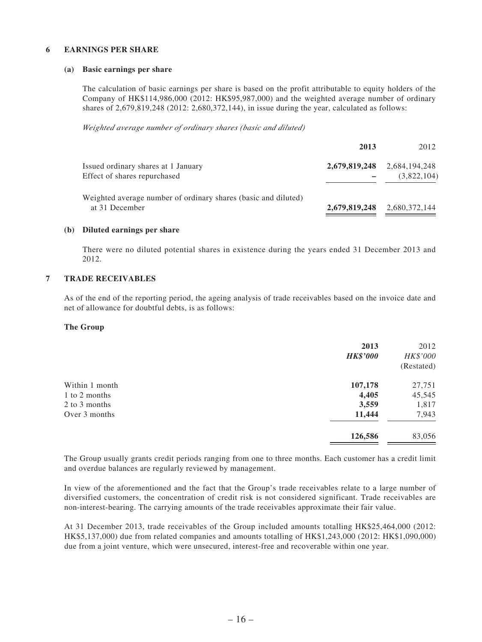#### **6 EARNINGS PER SHARE**

#### **(a) Basic earnings per share**

The calculation of basic earnings per share is based on the profit attributable to equity holders of the Company of HK\$114,986,000 (2012: HK\$95,987,000) and the weighted average number of ordinary shares of 2,679,819,248 (2012: 2,680,372,144), in issue during the year, calculated as follows:

*Weighted average number of ordinary shares (basic and diluted)*

|                                                                                  | 2013 | 2012                                       |
|----------------------------------------------------------------------------------|------|--------------------------------------------|
| Issued ordinary shares at 1 January<br>Effect of shares repurchased              |      | 2,679,819,248 2,684,194,248<br>(3,822,104) |
| Weighted average number of ordinary shares (basic and diluted)<br>at 31 December |      | 2,679,819,248 2,680,372,144                |

#### **(b) Diluted earnings per share**

There were no diluted potential shares in existence during the years ended 31 December 2013 and 2012.

#### **7 TRADE RECEIVABLES**

As of the end of the reporting period, the ageing analysis of trade receivables based on the invoice date and net of allowance for doubtful debts, is as follows:

#### **The Group**

|                | 2013<br><b>HK\$'000</b> | 2012<br>HK\$'000<br>(Restated) |
|----------------|-------------------------|--------------------------------|
| Within 1 month | 107,178                 | 27,751                         |
| 1 to 2 months  | 4,405                   | 45,545                         |
| 2 to 3 months  | 3,559                   | 1,817                          |
| Over 3 months  | 11,444                  | 7,943                          |
|                | 126,586                 | 83,056                         |

The Group usually grants credit periods ranging from one to three months. Each customer has a credit limit and overdue balances are regularly reviewed by management.

In view of the aforementioned and the fact that the Group's trade receivables relate to a large number of diversified customers, the concentration of credit risk is not considered significant. Trade receivables are non-interest-bearing. The carrying amounts of the trade receivables approximate their fair value.

At 31 December 2013, trade receivables of the Group included amounts totalling HK\$25,464,000 (2012: HK\$5,137,000) due from related companies and amounts totalling of HK\$1,243,000 (2012: HK\$1,090,000) due from a joint venture, which were unsecured, interest-free and recoverable within one year.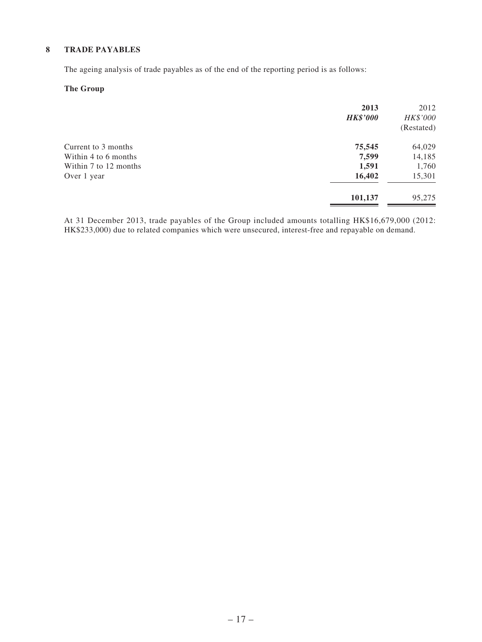### **8 TRADE PAYABLES**

The ageing analysis of trade payables as of the end of the reporting period is as follows:

### **The Group**

|                       | 2013<br><b>HK\$'000</b> | 2012<br>HK\$'000<br>(Restated) |
|-----------------------|-------------------------|--------------------------------|
| Current to 3 months   | 75,545                  | 64,029                         |
| Within 4 to 6 months  | 7,599                   | 14,185                         |
| Within 7 to 12 months | 1,591                   | 1,760                          |
| Over 1 year           | 16,402                  | 15,301                         |
|                       | 101,137                 | 95,275                         |
|                       |                         |                                |

At 31 December 2013, trade payables of the Group included amounts totalling HK\$16,679,000 (2012: HK\$233,000) due to related companies which were unsecured, interest-free and repayable on demand.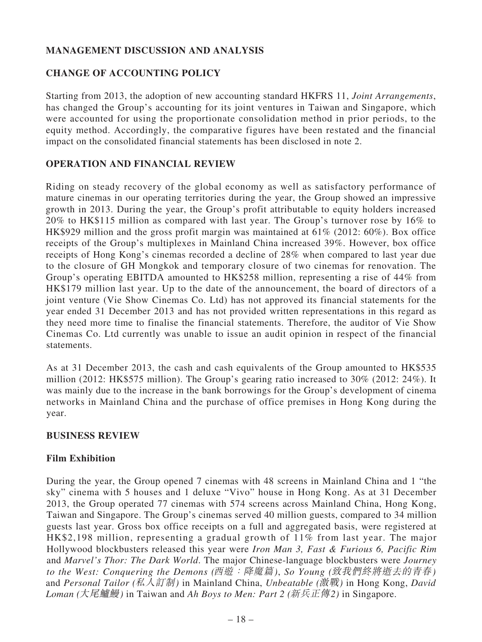# **MANAGEMENT DISCUSSION AND ANALYSIS**

## **CHANGE OF ACCOUNTING POLICY**

Starting from 2013, the adoption of new accounting standard HKFRS 11, *Joint Arrangements*, has changed the Group's accounting for its joint ventures in Taiwan and Singapore, which were accounted for using the proportionate consolidation method in prior periods, to the equity method. Accordingly, the comparative figures have been restated and the financial impact on the consolidated financial statements has been disclosed in note 2.

### **OPERATION AND FINANCIAL REVIEW**

Riding on steady recovery of the global economy as well as satisfactory performance of mature cinemas in our operating territories during the year, the Group showed an impressive growth in 2013. During the year, the Group's profit attributable to equity holders increased 20% to HK\$115 million as compared with last year. The Group's turnover rose by 16% to HK\$929 million and the gross profit margin was maintained at 61% (2012: 60%). Box office receipts of the Group's multiplexes in Mainland China increased 39%. However, box office receipts of Hong Kong's cinemas recorded a decline of 28% when compared to last year due to the closure of GH Mongkok and temporary closure of two cinemas for renovation. The Group's operating EBITDA amounted to HK\$258 million, representing a rise of 44% from HK\$179 million last year. Up to the date of the announcement, the board of directors of a joint venture (Vie Show Cinemas Co. Ltd) has not approved its financial statements for the year ended 31 December 2013 and has not provided written representations in this regard as they need more time to finalise the financial statements. Therefore, the auditor of Vie Show Cinemas Co. Ltd currently was unable to issue an audit opinion in respect of the financial statements.

As at 31 December 2013, the cash and cash equivalents of the Group amounted to HK\$535 million (2012: HK\$575 million). The Group's gearing ratio increased to 30% (2012: 24%). It was mainly due to the increase in the bank borrowings for the Group's development of cinema networks in Mainland China and the purchase of office premises in Hong Kong during the year.

### **BUSINESS REVIEW**

## **Film Exhibition**

During the year, the Group opened 7 cinemas with 48 screens in Mainland China and 1 "the sky" cinema with 5 houses and 1 deluxe "Vivo" house in Hong Kong. As at 31 December 2013, the Group operated 77 cinemas with 574 screens across Mainland China, Hong Kong, Taiwan and Singapore. The Group's cinemas served 40 million guests, compared to 34 million guests last year. Gross box office receipts on a full and aggregated basis, were registered at HK\$2,198 million, representing a gradual growth of 11% from last year. The major Hollywood blockbusters released this year were *Iron Man 3, Fast & Furious 6, Pacific Rim*  and *Marvel's Thor: The Dark World*. The major Chinese-language blockbusters were *Journey to the West: Conquering the Demons (*西遊:降魔篇*)*, *So Young (*致我們終將逝去的青春*)* and *Personal Tailor (*私人訂制*)* in Mainland China, *Unbeatable (*激戰*)* in Hong Kong, *David Loman (*大尾鱸鰻*)* in Taiwan and *Ah Boys to Men: Part 2 (*新兵正傳*2)* in Singapore.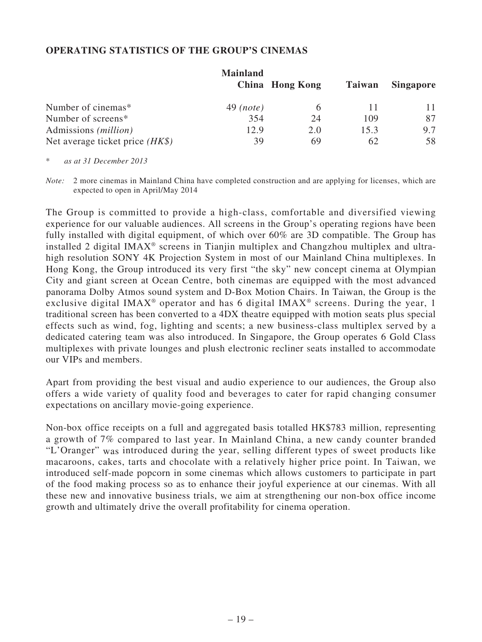### **OPERATING STATISTICS OF THE GROUP'S CINEMAS**

|                                   | <b>Mainland</b> |                 |               |                  |
|-----------------------------------|-----------------|-----------------|---------------|------------------|
|                                   |                 | China Hong Kong | <b>Taiwan</b> | <b>Singapore</b> |
| Number of cinemas*                | $49$ (note)     |                 |               |                  |
| Number of screens*                | 354             | 24              | 109           | 87               |
| Admissions ( <i>million</i> )     | 12.9            | 2.0             | 15.3          | 9.7              |
| Net average ticket price $(HK\$ ) | 39              | 69              | 62            | 58               |

\* *as at 31 December 2013*

*Note:* 2 more cinemas in Mainland China have completed construction and are applying for licenses, which are expected to open in April/May 2014

The Group is committed to provide a high-class, comfortable and diversified viewing experience for our valuable audiences. All screens in the Group's operating regions have been fully installed with digital equipment, of which over 60% are 3D compatible. The Group has installed 2 digital IMAX® screens in Tianjin multiplex and Changzhou multiplex and ultrahigh resolution SONY 4K Projection System in most of our Mainland China multiplexes. In Hong Kong, the Group introduced its very first "the sky" new concept cinema at Olympian City and giant screen at Ocean Centre, both cinemas are equipped with the most advanced panorama Dolby Atmos sound system and D-Box Motion Chairs. In Taiwan, the Group is the exclusive digital IMAX<sup>®</sup> operator and has 6 digital IMAX<sup>®</sup> screens. During the year, 1 traditional screen has been converted to a 4DX theatre equipped with motion seats plus special effects such as wind, fog, lighting and scents; a new business-class multiplex served by a dedicated catering team was also introduced. In Singapore, the Group operates 6 Gold Class multiplexes with private lounges and plush electronic recliner seats installed to accommodate our VIPs and members.

Apart from providing the best visual and audio experience to our audiences, the Group also offers a wide variety of quality food and beverages to cater for rapid changing consumer expectations on ancillary movie-going experience.

Non-box office receipts on a full and aggregated basis totalled HK\$783 million, representing a growth of 7% compared to last year. In Mainland China, a new candy counter branded "L'Oranger" was introduced during the year, selling different types of sweet products like macaroons, cakes, tarts and chocolate with a relatively higher price point. In Taiwan, we introduced self-made popcorn in some cinemas which allows customers to participate in part of the food making process so as to enhance their joyful experience at our cinemas. With all these new and innovative business trials, we aim at strengthening our non-box office income growth and ultimately drive the overall profitability for cinema operation.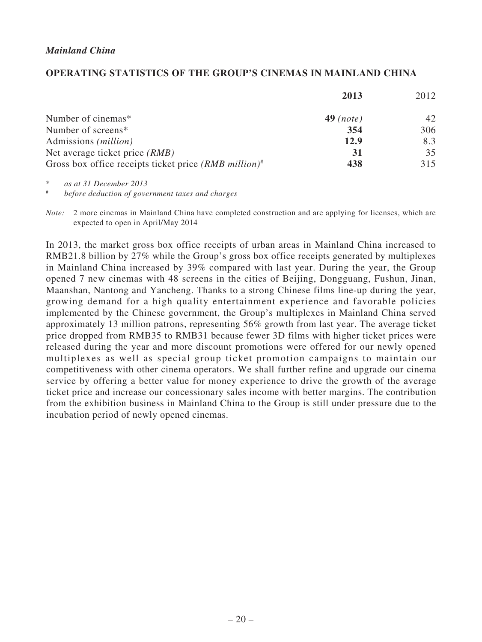### **OPERATING STATISTICS OF THE GROUP'S CINEMAS IN MAINLAND CHINA**

|                                                                     | 2013        | 2012 |
|---------------------------------------------------------------------|-------------|------|
| Number of cinemas*                                                  | $49$ (note) | 42   |
| Number of screens*                                                  | 354         | 306  |
| Admissions ( <i>million</i> )                                       | 12.9        | 8.3  |
| Net average ticket price (RMB)                                      | 31          | 35   |
| Gross box office receipts ticket price $(RMB$ million) <sup>#</sup> | 438         | 315  |

\* *as at 31 December 2013*

# *before deduction of government taxes and charges*

*Note:* 2 more cinemas in Mainland China have completed construction and are applying for licenses, which are expected to open in April/May 2014

In 2013, the market gross box office receipts of urban areas in Mainland China increased to RMB21.8 billion by 27% while the Group's gross box office receipts generated by multiplexes in Mainland China increased by 39% compared with last year. During the year, the Group opened 7 new cinemas with 48 screens in the cities of Beijing, Dongguang, Fushun, Jinan, Maanshan, Nantong and Yancheng. Thanks to a strong Chinese films line-up during the year, growing demand for a high quality entertainment experience and favorable policies implemented by the Chinese government, the Group's multiplexes in Mainland China served approximately 13 million patrons, representing 56% growth from last year. The average ticket price dropped from RMB35 to RMB31 because fewer 3D films with higher ticket prices were released during the year and more discount promotions were offered for our newly opened multiplexes as well as special group ticket promotion campaigns to maintain our competitiveness with other cinema operators. We shall further refine and upgrade our cinema service by offering a better value for money experience to drive the growth of the average ticket price and increase our concessionary sales income with better margins. The contribution from the exhibition business in Mainland China to the Group is still under pressure due to the incubation period of newly opened cinemas.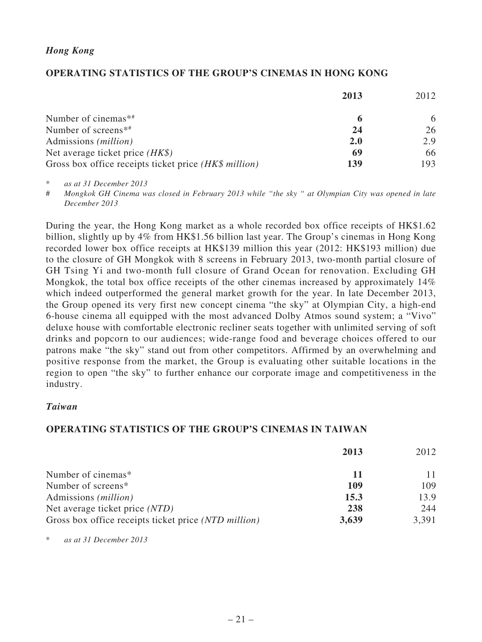### *Hong Kong*

### **OPERATING STATISTICS OF THE GROUP'S CINEMAS IN HONG KONG**

|                                                       | 2013       | 2012 |
|-------------------------------------------------------|------------|------|
| Number of cinemas <sup><math>**</math></sup>          |            | 6    |
| Number of screens <sup>*#</sup>                       | 24         | 26   |
| Admissions ( <i>million</i> )                         | <b>2.0</b> | 2.9  |
| Net average ticket price $(HK\$ )                     | 69         | 66   |
| Gross box office receipts ticket price (HK\$ million) | 139        | 193  |

\* *as at 31 December 2013*

# *Mongkok GH Cinema was closed in February 2013 while "the sky " at Olympian City was opened in late December 2013*

During the year, the Hong Kong market as a whole recorded box office receipts of HK\$1.62 billion, slightly up by 4% from HK\$1.56 billion last year. The Group's cinemas in Hong Kong recorded lower box office receipts at HK\$139 million this year (2012: HK\$193 million) due to the closure of GH Mongkok with 8 screens in February 2013, two-month partial closure of GH Tsing Yi and two-month full closure of Grand Ocean for renovation. Excluding GH Mongkok, the total box office receipts of the other cinemas increased by approximately 14% which indeed outperformed the general market growth for the year. In late December 2013, the Group opened its very first new concept cinema "the sky" at Olympian City, a high-end 6-house cinema all equipped with the most advanced Dolby Atmos sound system; a "Vivo" deluxe house with comfortable electronic recliner seats together with unlimited serving of soft drinks and popcorn to our audiences; wide-range food and beverage choices offered to our patrons make "the sky" stand out from other competitors. Affirmed by an overwhelming and positive response from the market, the Group is evaluating other suitable locations in the region to open "the sky" to further enhance our corporate image and competitiveness in the industry.

### *Taiwan*

### **OPERATING STATISTICS OF THE GROUP'S CINEMAS IN TAIWAN**

|                                                      | 2013  | 2012  |
|------------------------------------------------------|-------|-------|
| Number of cinemas*                                   | 11    |       |
| Number of screens*                                   | 109   | 109   |
| Admissions ( <i>million</i> )                        | 15.3  | 13.9  |
| Net average ticket price (NTD)                       | 238   | 244   |
| Gross box office receipts ticket price (NTD million) | 3,639 | 3,391 |

\* *as at 31 December 2013*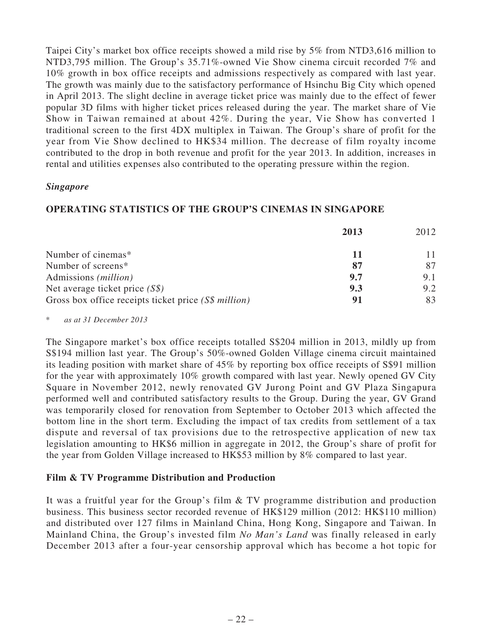Taipei City's market box office receipts showed a mild rise by 5% from NTD3,616 million to NTD3,795 million. The Group's 35.71%-owned Vie Show cinema circuit recorded 7% and 10% growth in box office receipts and admissions respectively as compared with last year. The growth was mainly due to the satisfactory performance of Hsinchu Big City which opened in April 2013. The slight decline in average ticket price was mainly due to the effect of fewer popular 3D films with higher ticket prices released during the year. The market share of Vie Show in Taiwan remained at about 42%. During the year, Vie Show has converted 1 traditional screen to the first 4DX multiplex in Taiwan. The Group's share of profit for the year from Vie Show declined to HK\$34 million. The decrease of film royalty income contributed to the drop in both revenue and profit for the year 2013. In addition, increases in rental and utilities expenses also contributed to the operating pressure within the region.

### *Singapore*

### **OPERATING STATISTICS OF THE GROUP'S CINEMAS IN SINGAPORE**

|                                                      | 2013 | 2012 |
|------------------------------------------------------|------|------|
| Number of cinemas*                                   |      |      |
| Number of screens*                                   |      | 87   |
| Admissions ( <i>million</i> )                        | 9.7  | 9.1  |
| Net average ticket price $(S\$ )                     | 9.3  | 9.2  |
| Gross box office receipts ticket price (S\$ million) | 91   | 83   |

\* *as at 31 December 2013*

The Singapore market's box office receipts totalled S\$204 million in 2013, mildly up from S\$194 million last year. The Group's 50%-owned Golden Village cinema circuit maintained its leading position with market share of 45% by reporting box office receipts of S\$91 million for the year with approximately 10% growth compared with last year. Newly opened GV City Square in November 2012, newly renovated GV Jurong Point and GV Plaza Singapura performed well and contributed satisfactory results to the Group. During the year, GV Grand was temporarily closed for renovation from September to October 2013 which affected the bottom line in the short term. Excluding the impact of tax credits from settlement of a tax dispute and reversal of tax provisions due to the retrospective application of new tax legislation amounting to HK\$6 million in aggregate in 2012, the Group's share of profit for the year from Golden Village increased to HK\$53 million by 8% compared to last year.

## **Film & TV Programme Distribution and Production**

It was a fruitful year for the Group's film & TV programme distribution and production business. This business sector recorded revenue of HK\$129 million (2012: HK\$110 million) and distributed over 127 films in Mainland China, Hong Kong, Singapore and Taiwan. In Mainland China, the Group's invested film *No Man's Land* was finally released in early December 2013 after a four-year censorship approval which has become a hot topic for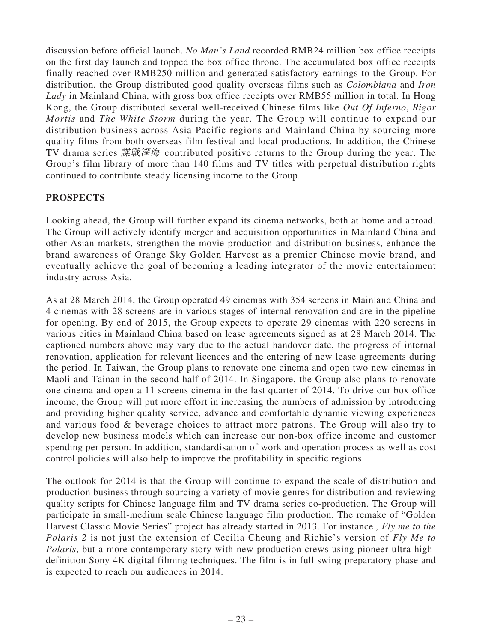discussion before official launch. *No Man's Land* recorded RMB24 million box office receipts on the first day launch and topped the box office throne. The accumulated box office receipts finally reached over RMB250 million and generated satisfactory earnings to the Group. For distribution, the Group distributed good quality overseas films such as *Colombiana* and *Iron Lady* in Mainland China, with gross box office receipts over RMB55 million in total. In Hong Kong, the Group distributed several well-received Chinese films like *Out Of Inferno*, *Rigor Mortis* and *The White Storm* during the year. The Group will continue to expand our distribution business across Asia-Pacific regions and Mainland China by sourcing more quality films from both overseas film festival and local productions. In addition, the Chinese TV drama series 諜戰深海 contributed positive returns to the Group during the year. The Group's film library of more than 140 films and TV titles with perpetual distribution rights continued to contribute steady licensing income to the Group.

## **PROSPECTS**

Looking ahead, the Group will further expand its cinema networks, both at home and abroad. The Group will actively identify merger and acquisition opportunities in Mainland China and other Asian markets, strengthen the movie production and distribution business, enhance the brand awareness of Orange Sky Golden Harvest as a premier Chinese movie brand, and eventually achieve the goal of becoming a leading integrator of the movie entertainment industry across Asia.

As at 28 March 2014, the Group operated 49 cinemas with 354 screens in Mainland China and 4 cinemas with 28 screens are in various stages of internal renovation and are in the pipeline for opening. By end of 2015, the Group expects to operate 29 cinemas with 220 screens in various cities in Mainland China based on lease agreements signed as at 28 March 2014. The captioned numbers above may vary due to the actual handover date, the progress of internal renovation, application for relevant licences and the entering of new lease agreements during the period. In Taiwan, the Group plans to renovate one cinema and open two new cinemas in Maoli and Tainan in the second half of 2014. In Singapore, the Group also plans to renovate one cinema and open a 11 screens cinema in the last quarter of 2014. To drive our box office income, the Group will put more effort in increasing the numbers of admission by introducing and providing higher quality service, advance and comfortable dynamic viewing experiences and various food & beverage choices to attract more patrons. The Group will also try to develop new business models which can increase our non-box office income and customer spending per person. In addition, standardisation of work and operation process as well as cost control policies will also help to improve the profitability in specific regions.

The outlook for 2014 is that the Group will continue to expand the scale of distribution and production business through sourcing a variety of movie genres for distribution and reviewing quality scripts for Chinese language film and TV drama series co-production. The Group will participate in small-medium scale Chinese language film production. The remake of "Golden Harvest Classic Movie Series" project has already started in 2013. For instance *, Fly me to the Polaris 2* is not just the extension of Cecilia Cheung and Richie's version of *Fly Me to Polaris*, but a more contemporary story with new production crews using pioneer ultra-highdefinition Sony 4K digital filming techniques. The film is in full swing preparatory phase and is expected to reach our audiences in 2014.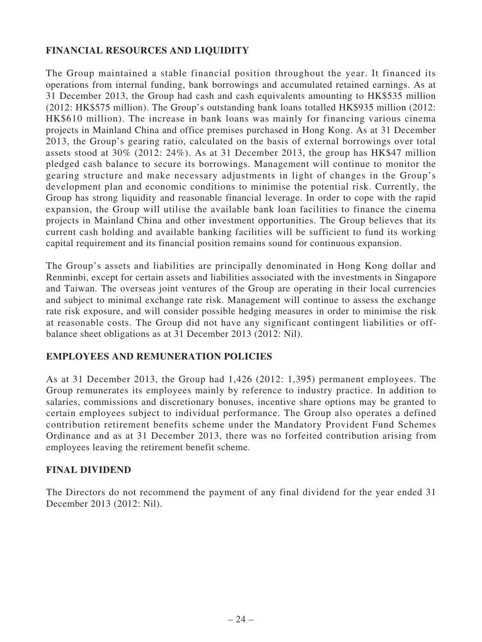## **FINANCIAL RESOURCES AND LIQUIDITY**

The Group maintained a stable financial position throughout the year. It financed its operations from internal funding, bank borrowings and accumulated retained earnings. As at 31 December 2013, the Group had cash and cash equivalents amounting to HK\$535 million (2012: HK\$575 million). The Group's outstanding bank loans totalled HK\$935 million (2012: HK\$610 million). The increase in bank loans was mainly for financing various cinema projects in Mainland China and office premises purchased in Hong Kong. As at 31 December 2013, the Group's gearing ratio, calculated on the basis of external borrowings over total assets stood at 30% (2012: 24%). As at 31 December 2013, the group has HK\$47 million pledged cash balance to secure its borrowings. Management will continue to monitor the gearing structure and make necessary adjustments in light of changes in the Group's development plan and economic conditions to minimise the potential risk. Currently, the Group has strong liquidity and reasonable financial leverage. In order to cope with the rapid expansion, the Group will utilise the available bank loan facilities to finance the cinema projects in Mainland China and other investment opportunities. The Group believes that its current cash holding and available banking facilities will be sufficient to fund its working capital requirement and its financial position remains sound for continuous expansion.

The Group's assets and liabilities are principally denominated in Hong Kong dollar and Renminbi, except for certain assets and liabilities associated with the investments in Singapore and Taiwan. The overseas joint ventures of the Group are operating in their local currencies and subject to minimal exchange rate risk. Management will continue to assess the exchange rate risk exposure, and will consider possible hedging measures in order to minimise the risk at reasonable costs. The Group did not have any significant contingent liabilities or offbalance sheet obligations as at 31 December 2013 (2012: Nil).

## **EMPLOYEES AND REMUNERATION POLICIES**

As at 31 December 2013, the Group had 1,426 (2012: 1,395) permanent employees. The Group remunerates its employees mainly by reference to industry practice. In addition to salaries, commissions and discretionary bonuses, incentive share options may be granted to certain employees subject to individual performance. The Group also operates a defined contribution retirement benefits scheme under the Mandatory Provident Fund Schemes Ordinance and as at 31 December 2013, there was no forfeited contribution arising from employees leaving the retirement benefit scheme.

### **FINAL DIVIDEND**

The Directors do not recommend the payment of any final dividend for the year ended 31 December 2013 (2012: Nil).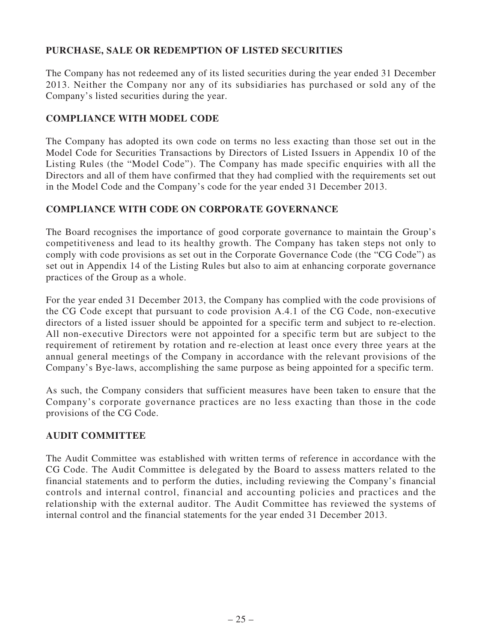# **PURCHASE, SALE OR REDEMPTION OF LISTED SECURITIES**

The Company has not redeemed any of its listed securities during the year ended 31 December 2013. Neither the Company nor any of its subsidiaries has purchased or sold any of the Company's listed securities during the year.

## **COMPLIANCE WITH MODEL CODE**

The Company has adopted its own code on terms no less exacting than those set out in the Model Code for Securities Transactions by Directors of Listed Issuers in Appendix 10 of the Listing Rules (the "Model Code"). The Company has made specific enquiries with all the Directors and all of them have confirmed that they had complied with the requirements set out in the Model Code and the Company's code for the year ended 31 December 2013.

## **COMPLIANCE WITH CODE ON CORPORATE GOVERNANCE**

The Board recognises the importance of good corporate governance to maintain the Group's competitiveness and lead to its healthy growth. The Company has taken steps not only to comply with code provisions as set out in the Corporate Governance Code (the "CG Code") as set out in Appendix 14 of the Listing Rules but also to aim at enhancing corporate governance practices of the Group as a whole.

For the year ended 31 December 2013, the Company has complied with the code provisions of the CG Code except that pursuant to code provision A.4.1 of the CG Code, non-executive directors of a listed issuer should be appointed for a specific term and subject to re-election. All non-executive Directors were not appointed for a specific term but are subject to the requirement of retirement by rotation and re-election at least once every three years at the annual general meetings of the Company in accordance with the relevant provisions of the Company's Bye-laws, accomplishing the same purpose as being appointed for a specific term.

As such, the Company considers that sufficient measures have been taken to ensure that the Company's corporate governance practices are no less exacting than those in the code provisions of the CG Code.

## **AUDIT COMMITTEE**

The Audit Committee was established with written terms of reference in accordance with the CG Code. The Audit Committee is delegated by the Board to assess matters related to the financial statements and to perform the duties, including reviewing the Company's financial controls and internal control, financial and accounting policies and practices and the relationship with the external auditor. The Audit Committee has reviewed the systems of internal control and the financial statements for the year ended 31 December 2013.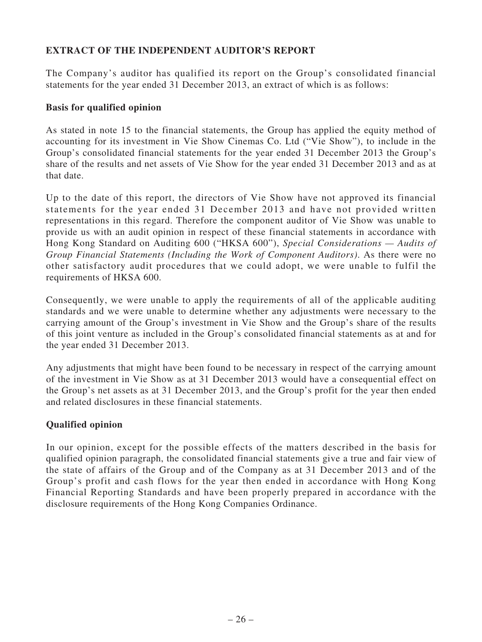# **EXTRACT OF THE INDEPENDENT AUDITOR'S REPORT**

The Company's auditor has qualified its report on the Group's consolidated financial statements for the year ended 31 December 2013, an extract of which is as follows:

### **Basis for qualified opinion**

As stated in note 15 to the financial statements, the Group has applied the equity method of accounting for its investment in Vie Show Cinemas Co. Ltd ("Vie Show"), to include in the Group's consolidated financial statements for the year ended 31 December 2013 the Group's share of the results and net assets of Vie Show for the year ended 31 December 2013 and as at that date.

Up to the date of this report, the directors of Vie Show have not approved its financial statements for the year ended 31 December 2013 and have not provided written representations in this regard. Therefore the component auditor of Vie Show was unable to provide us with an audit opinion in respect of these financial statements in accordance with Hong Kong Standard on Auditing 600 ("HKSA 600"), *Special Considerations — Audits of Group Financial Statements (Including the Work of Component Auditors)*. As there were no other satisfactory audit procedures that we could adopt, we were unable to fulfil the requirements of HKSA 600.

Consequently, we were unable to apply the requirements of all of the applicable auditing standards and we were unable to determine whether any adjustments were necessary to the carrying amount of the Group's investment in Vie Show and the Group's share of the results of this joint venture as included in the Group's consolidated financial statements as at and for the year ended 31 December 2013.

Any adjustments that might have been found to be necessary in respect of the carrying amount of the investment in Vie Show as at 31 December 2013 would have a consequential effect on the Group's net assets as at 31 December 2013, and the Group's profit for the year then ended and related disclosures in these financial statements.

## **Qualified opinion**

In our opinion, except for the possible effects of the matters described in the basis for qualified opinion paragraph, the consolidated financial statements give a true and fair view of the state of affairs of the Group and of the Company as at 31 December 2013 and of the Group's profit and cash flows for the year then ended in accordance with Hong Kong Financial Reporting Standards and have been properly prepared in accordance with the disclosure requirements of the Hong Kong Companies Ordinance.